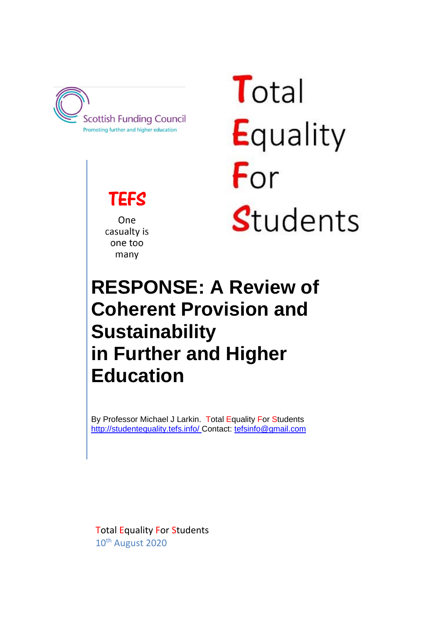

**TEFS** 

One casualty is one too many

Total Equality For Students

# **RESPONSE: A Review of Coherent Provision and Sustainability in Further and Higher Education**

By Professor Michael J Larkin. Total Equality For Students <http://studentequality.tefs.info/> Contact: [tefsinfo@gmail.com](mailto:tefsinfo@gmail.com)

Total Equality For Students 10th August 2020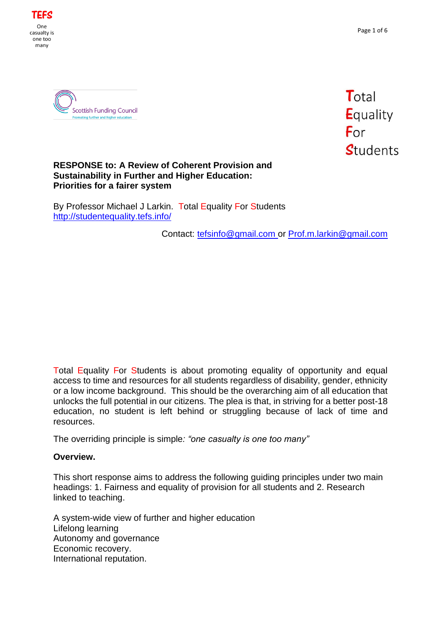





#### **RESPONSE to: A Review of Coherent Provision and Sustainability in Further and Higher Education: Priorities for a fairer system**

By Professor Michael J Larkin. Total Equality For Students <http://studentequality.tefs.info/>

Contact: [tefsinfo@gmail.com](mailto:tefsinfo@gmail.com) or [Prof.m.larkin@gmail.com](mailto:Prof.m.larkin@gmail.com)

Total Equality For Students is about promoting equality of opportunity and equal access to time and resources for all students regardless of disability, gender, ethnicity or a low income background. This should be the overarching aim of all education that unlocks the full potential in our citizens. The plea is that, in striving for a better post-18 education, no student is left behind or struggling because of lack of time and resources.

The overriding principle is simple*: "one casualty is one too many"*

#### **Overview.**

This short response aims to address the following guiding principles under two main headings: 1. Fairness and equality of provision for all students and 2. Research linked to teaching.

A system-wide view of further and higher education Lifelong learning Autonomy and governance Economic recovery. International reputation.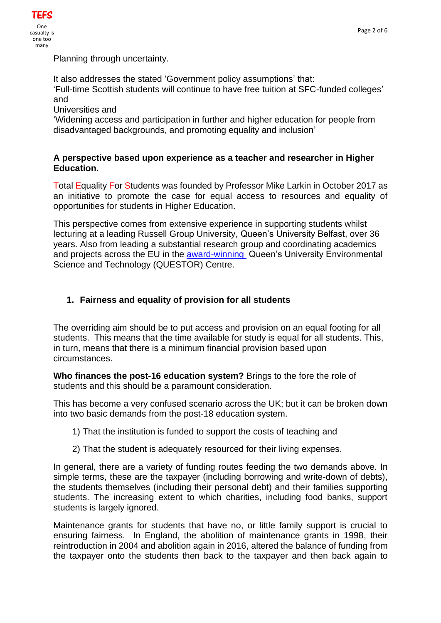

Planning through uncertainty.

It also addresses the stated 'Government policy assumptions' that:

'Full-time Scottish students will continue to have free tuition at SFC-funded colleges' and

Universities and

'Widening access and participation in further and higher education for people from disadvantaged backgrounds, and promoting equality and inclusion'

### **A perspective based upon experience as a teacher and researcher in Higher Education.**

Total Equality For Students was founded by Professor Mike Larkin in October 2017 as an initiative to promote the case for equal access to resources and equality of opportunities for students in Higher Education.

This perspective comes from extensive experience in supporting students whilst lecturing at a leading Russell Group University, Queen's University Belfast, over 36 years. Also from leading a substantial research group and coordinating academics and projects across the EU in the [award-winning](https://www.queensanniversaryprizes.org.uk/winners-archive/) Queen's University Environmental Science and Technology (QUESTOR) Centre.

# **1. Fairness and equality of provision for all students**

The overriding aim should be to put access and provision on an equal footing for all students. This means that the time available for study is equal for all students. This, in turn, means that there is a minimum financial provision based upon circumstances.

**Who finances the post-16 education system?** Brings to the fore the role of students and this should be a paramount consideration.

This has become a very confused scenario across the UK; but it can be broken down into two basic demands from the post-18 education system.

- 1) That the institution is funded to support the costs of teaching and
- 2) That the student is adequately resourced for their living expenses.

In general, there are a variety of funding routes feeding the two demands above. In simple terms, these are the taxpayer (including borrowing and write-down of debts), the students themselves (including their personal debt) and their families supporting students. The increasing extent to which charities, including food banks, support students is largely ignored.

Maintenance grants for students that have no, or little family support is crucial to ensuring fairness. In England, the abolition of maintenance grants in 1998, their reintroduction in 2004 and abolition again in 2016, altered the balance of funding from the taxpayer onto the students then back to the taxpayer and then back again to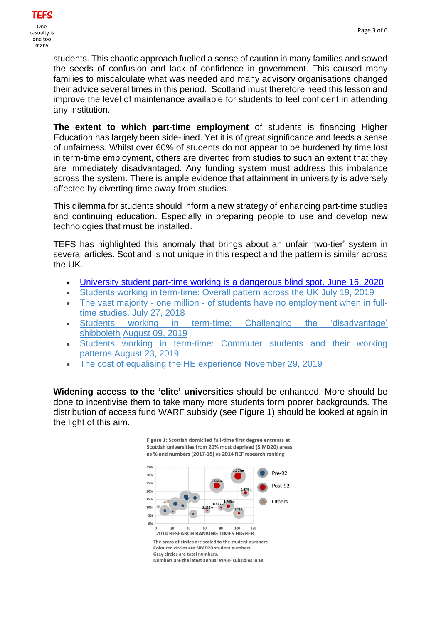students. This chaotic approach fuelled a sense of caution in many families and sowed the seeds of confusion and lack of confidence in government. This caused many families to miscalculate what was needed and many advisory organisations changed their advice several times in this period. Scotland must therefore heed this lesson and improve the level of maintenance available for students to feel confident in attending any institution.

**The extent to which part-time employment** of students is financing Higher Education has largely been side-lined. Yet it is of great significance and feeds a sense of unfairness. Whilst over 60% of students do not appear to be burdened by time lost in term-time employment, others are diverted from studies to such an extent that they are immediately disadvantaged. Any funding system must address this imbalance across the system. There is ample evidence that attainment in university is adversely affected by diverting time away from studies.

This dilemma for students should inform a new strategy of enhancing part-time studies and continuing education. Especially in preparing people to use and develop new technologies that must be installed.

TEFS has highlighted this anomaly that brings about an unfair 'two-tier' system in several articles. Scotland is not unique in this respect and the pattern is similar across the UK.

- [University student part-time working is a dangerous blind spot. June 16, 2020](https://studentequality.tefs.info/2020/06/university-student-part-time-working-is.html)
- Students [working in term-time: Overall pattern across the UK](https://studentequality.tefs.info/2019/07/student-working-in-term-time-in-uk_19.html) [July 19, 2019](https://studentequality.tefs.info/2019/07/student-working-in-term-time-in-uk_19.html)
- The vast majority one million [of students have no employment when in full](https://studentequality.tefs.info/2018/07/the-vast-majority-of-students-have-no.html)[time studies.](https://studentequality.tefs.info/2018/07/the-vast-majority-of-students-have-no.html) [July 27, 2018](https://studentequality.tefs.info/2018/07/the-vast-majority-of-students-have-no.html)
- [Students working in term-time: Challenging the 'disadvantage'](https://studentequality.tefs.info/2019/08/students-working-in-term-time.html)  [shibboleth](https://studentequality.tefs.info/2019/08/students-working-in-term-time.html) [August 09, 2019](https://studentequality.tefs.info/2019/08/students-working-in-term-time.html)
- [Students working in term-time: Commuter students and their working](https://studentequality.tefs.info/2019/08/students-working-in-term-time-commuter.html)  [patterns](https://studentequality.tefs.info/2019/08/students-working-in-term-time-commuter.html) [August 23, 2019](https://studentequality.tefs.info/2019/08/students-working-in-term-time-commuter.html)
- [The cost of equalising the HE experience](https://studentequality.tefs.info/2019/11/the-cost-of-equalising-he-experience.html) [November 29, 2019](https://studentequality.tefs.info/2019/11/the-cost-of-equalising-he-experience.html)

**Widening access to the 'elite' universities** should be enhanced. More should be done to incentivise them to take many more students form poorer backgrounds. The distribution of access fund WARF subsidy (see Figure 1) should be looked at again in the light of this aim.

Figure 1: Scottish domiciled full-time first degree entrants at

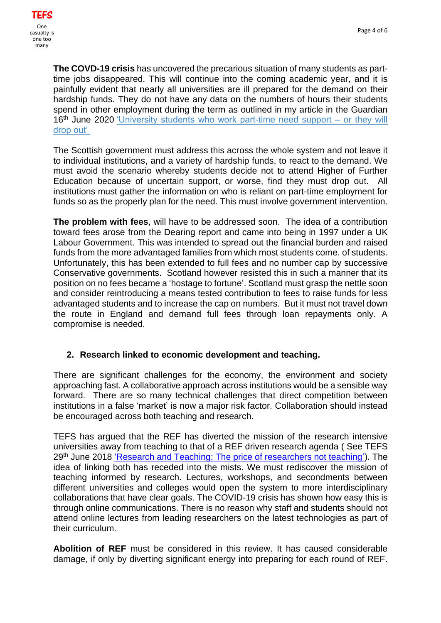**The COVD-19 crisis** has uncovered the precarious situation of many students as parttime jobs disappeared. This will continue into the coming academic year, and it is painfully evident that nearly all universities are ill prepared for the demand on their hardship funds. They do not have any data on the numbers of hours their students spend in other employment during the term as outlined in my article in the Guardian 16<sup>th</sup> June 2020 ['University students who work part-time need support –](https://www.theguardian.com/education/2020/jun/16/university-students-who-work-part-time-need-support-or-they-will-drop-out) or they will [drop out'](https://www.theguardian.com/education/2020/jun/16/university-students-who-work-part-time-need-support-or-they-will-drop-out)

The Scottish government must address this across the whole system and not leave it to individual institutions, and a variety of hardship funds, to react to the demand. We must avoid the scenario whereby students decide not to attend Higher of Further Education because of uncertain support, or worse, find they must drop out. All institutions must gather the information on who is reliant on part-time employment for funds so as the properly plan for the need. This must involve government intervention.

**The problem with fees**, will have to be addressed soon. The idea of a contribution toward fees arose from the Dearing report and came into being in 1997 under a UK Labour Government. This was intended to spread out the financial burden and raised funds from the more advantaged families from which most students come. of students. Unfortunately, this has been extended to full fees and no number cap by successive Conservative governments. Scotland however resisted this in such a manner that its position on no fees became a 'hostage to fortune'. Scotland must grasp the nettle soon and consider reintroducing a means tested contribution to fees to raise funds for less advantaged students and to increase the cap on numbers. But it must not travel down the route in England and demand full fees through loan repayments only. A compromise is needed.

# **2. Research linked to economic development and teaching.**

There are significant challenges for the economy, the environment and society approaching fast. A collaborative approach across institutions would be a sensible way forward. There are so many technical challenges that direct competition between institutions in a false 'market' is now a major risk factor. Collaboration should instead be encouraged across both teaching and research.

TEFS has argued that the REF has diverted the mission of the research intensive universities away from teaching to that of a REF driven research agenda ( See TEFS 29<sup>th</sup> June 2018 ['Research and Teaching: The price of researchers not teaching'\)](‘Research%20and%20Teaching:%20The%20price%20of%20researchers%20not%20teaching’). The idea of linking both has receded into the mists. We must rediscover the mission of teaching informed by research. Lectures, workshops, and secondments between different universities and colleges would open the system to more interdisciplinary collaborations that have clear goals. The COVID-19 crisis has shown how easy this is through online communications. There is no reason why staff and students should not attend online lectures from leading researchers on the latest technologies as part of their curriculum.

**Abolition of REF** must be considered in this review. It has caused considerable damage, if only by diverting significant energy into preparing for each round of REF.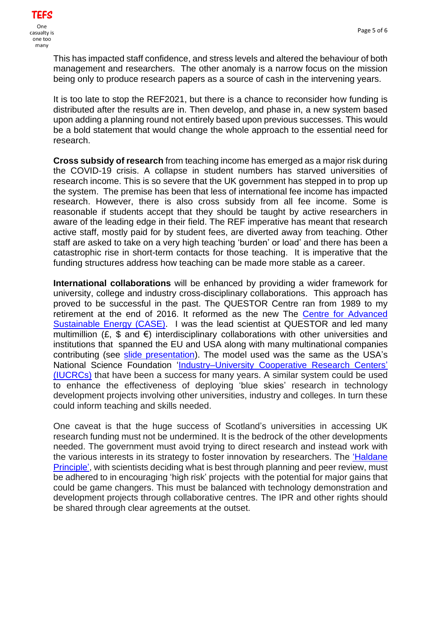This has impacted staff confidence, and stress levels and altered the behaviour of both management and researchers. The other anomaly is a narrow focus on the mission being only to produce research papers as a source of cash in the intervening years.

It is too late to stop the REF2021, but there is a chance to reconsider how funding is distributed after the results are in. Then develop, and phase in, a new system based upon adding a planning round not entirely based upon previous successes. This would be a bold statement that would change the whole approach to the essential need for research.

**Cross subsidy of research** from teaching income has emerged as a major risk during the COVID-19 crisis. A collapse in student numbers has starved universities of research income. This is so severe that the UK government has stepped in to prop up the system. The premise has been that less of international fee income has impacted research. However, there is also cross subsidy from all fee income. Some is reasonable if students accept that they should be taught by active researchers in aware of the leading edge in their field. The REF imperative has meant that research active staff, mostly paid for by student fees, are diverted away from teaching. Other staff are asked to take on a very high teaching 'burden' or load' and there has been a catastrophic rise in short-term contacts for those teaching. It is imperative that the funding structures address how teaching can be made more stable as a career.

**International collaborations** will be enhanced by providing a wider framework for university, college and industry cross-disciplinary collaborations. This approach has proved to be successful in the past. The QUESTOR Centre ran from 1989 to my retirement at the end of 2016. It reformed as the new The [Centre for Advanced](https://www.case-research.net/)  [Sustainable Energy \(CASE\).](https://www.case-research.net/) I was the lead scientist at QUESTOR and led many multimillion  $(E, \, \$$  and  $\varepsilon)$  interdisciplinary collaborations with other universities and institutions that spanned the EU and USA along with many multinational companies contributing (see [slide presentation\)](https://projects.ncsu.edu/iucrc/Jan). The model used was the same as the USA's National Science Foundation ['Industry–University Cooperative Research Centers'](https://iucrc.nsf.gov/about) [\(IUCRCs\)](https://iucrc.nsf.gov/about) that have been a success for many years. A similar system could be used to enhance the effectiveness of deploying 'blue skies' research in technology development projects involving other universities, industry and colleges. In turn these could inform teaching and skills needed.

One caveat is that the huge success of Scotland's universities in accessing UK research funding must not be undermined. It is the bedrock of the other developments needed. The government must avoid trying to direct research and instead work with the various interests in its strategy to foster innovation by researchers. The ['Haldane](https://publications.parliament.uk/pa/cm200809/cmselect/cmdius/168/16807.htm) [Principle',](https://publications.parliament.uk/pa/cm200809/cmselect/cmdius/168/16807.htm) with scientists deciding what is best through planning and peer review, must be adhered to in encouraging 'high risk' projects with the potential for major gains that could be game changers. This must be balanced with technology demonstration and development projects through collaborative centres. The IPR and other rights should be shared through clear agreements at the outset.